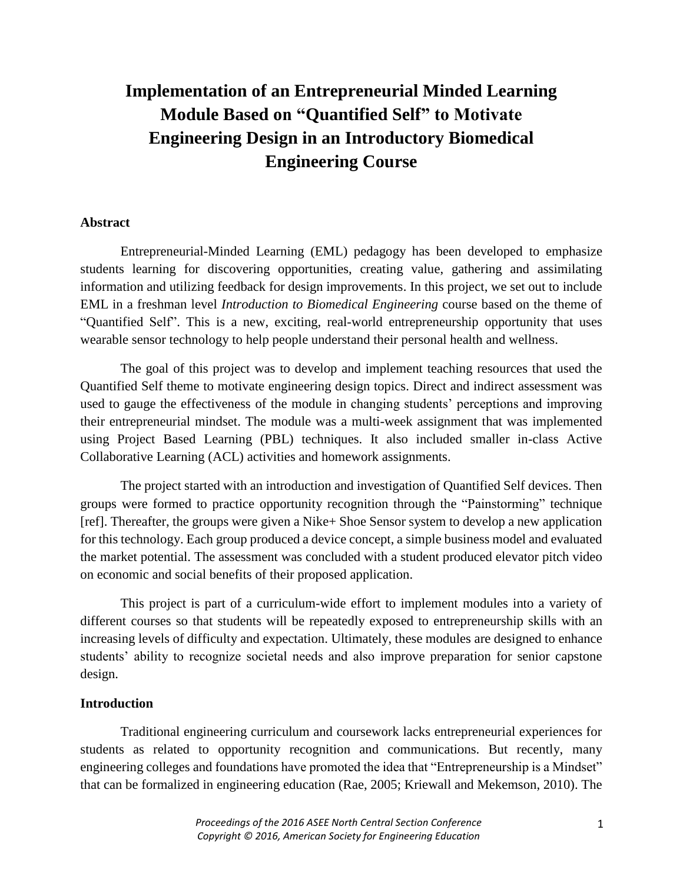# **Implementation of an Entrepreneurial Minded Learning Module Based on "Quantified Self" to Motivate Engineering Design in an Introductory Biomedical Engineering Course**

## **Abstract**

Entrepreneurial-Minded Learning (EML) pedagogy has been developed to emphasize students learning for discovering opportunities, creating value, gathering and assimilating information and utilizing feedback for design improvements. In this project, we set out to include EML in a freshman level *Introduction to Biomedical Engineering* course based on the theme of "Quantified Self". This is a new, exciting, real-world entrepreneurship opportunity that uses wearable sensor technology to help people understand their personal health and wellness.

The goal of this project was to develop and implement teaching resources that used the Quantified Self theme to motivate engineering design topics. Direct and indirect assessment was used to gauge the effectiveness of the module in changing students' perceptions and improving their entrepreneurial mindset. The module was a multi-week assignment that was implemented using Project Based Learning (PBL) techniques. It also included smaller in-class Active Collaborative Learning (ACL) activities and homework assignments.

The project started with an introduction and investigation of Quantified Self devices. Then groups were formed to practice opportunity recognition through the "Painstorming" technique [ref]. Thereafter, the groups were given a Nike+ Shoe Sensor system to develop a new application for this technology. Each group produced a device concept, a simple business model and evaluated the market potential. The assessment was concluded with a student produced elevator pitch video on economic and social benefits of their proposed application.

This project is part of a curriculum-wide effort to implement modules into a variety of different courses so that students will be repeatedly exposed to entrepreneurship skills with an increasing levels of difficulty and expectation. Ultimately, these modules are designed to enhance students' ability to recognize societal needs and also improve preparation for senior capstone design.

#### **Introduction**

Traditional engineering curriculum and coursework lacks entrepreneurial experiences for students as related to opportunity recognition and communications. But recently, many engineering colleges and foundations have promoted the idea that "Entrepreneurship is a Mindset" that can be formalized in engineering education (Rae, 2005; Kriewall and Mekemson, 2010). The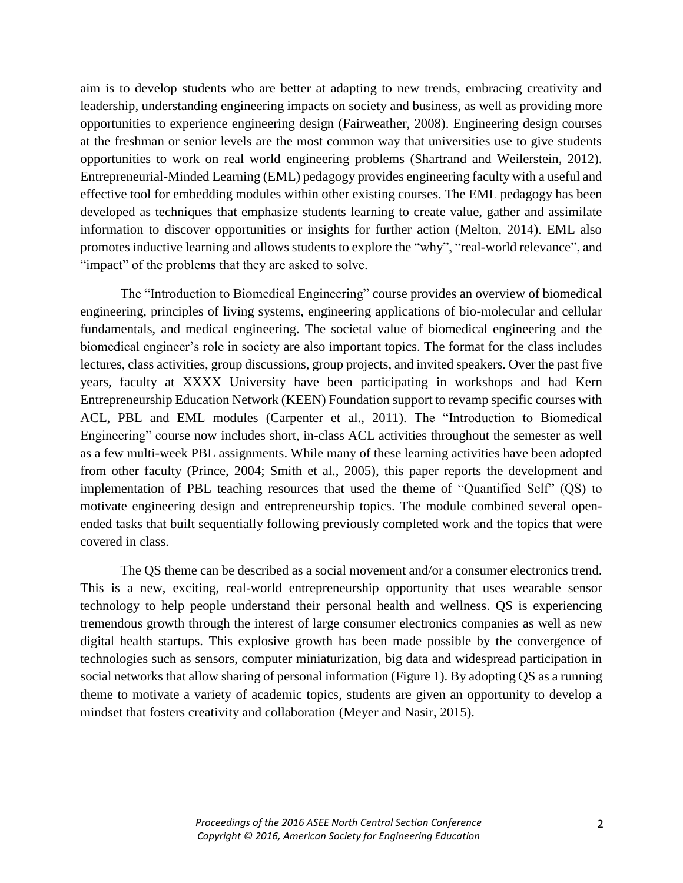aim is to develop students who are better at adapting to new trends, embracing creativity and leadership, understanding engineering impacts on society and business, as well as providing more opportunities to experience engineering design (Fairweather, 2008). Engineering design courses at the freshman or senior levels are the most common way that universities use to give students opportunities to work on real world engineering problems (Shartrand and Weilerstein, 2012). Entrepreneurial-Minded Learning (EML) pedagogy provides engineering faculty with a useful and effective tool for embedding modules within other existing courses. The EML pedagogy has been developed as techniques that emphasize students learning to create value, gather and assimilate information to discover opportunities or insights for further action (Melton, 2014). EML also promotes inductive learning and allows students to explore the "why", "real-world relevance", and "impact" of the problems that they are asked to solve.

The "Introduction to Biomedical Engineering" course provides an overview of biomedical engineering, principles of living systems, engineering applications of bio-molecular and cellular fundamentals, and medical engineering. The societal value of biomedical engineering and the biomedical engineer's role in society are also important topics. The format for the class includes lectures, class activities, group discussions, group projects, and invited speakers. Over the past five years, faculty at XXXX University have been participating in workshops and had Kern Entrepreneurship Education Network (KEEN) Foundation support to revamp specific courses with ACL, PBL and EML modules (Carpenter et al., 2011). The "Introduction to Biomedical Engineering" course now includes short, in-class ACL activities throughout the semester as well as a few multi-week PBL assignments. While many of these learning activities have been adopted from other faculty (Prince, 2004; Smith et al., 2005), this paper reports the development and implementation of PBL teaching resources that used the theme of "Quantified Self" (QS) to motivate engineering design and entrepreneurship topics. The module combined several openended tasks that built sequentially following previously completed work and the topics that were covered in class.

The QS theme can be described as a social movement and/or a consumer electronics trend. This is a new, exciting, real-world entrepreneurship opportunity that uses wearable sensor technology to help people understand their personal health and wellness. QS is experiencing tremendous growth through the interest of large consumer electronics companies as well as new digital health startups. This explosive growth has been made possible by the convergence of technologies such as sensors, computer miniaturization, big data and widespread participation in social networks that allow sharing of personal information (Figure 1). By adopting QS as a running theme to motivate a variety of academic topics, students are given an opportunity to develop a mindset that fosters creativity and collaboration (Meyer and Nasir, 2015).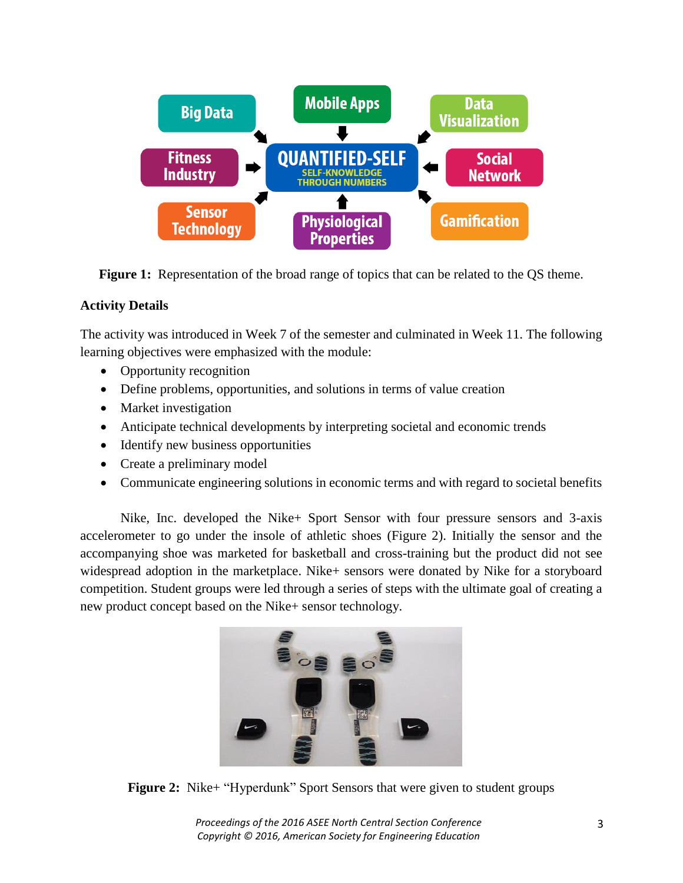

**Figure 1:** Representation of the broad range of topics that can be related to the QS theme.

## **Activity Details**

The activity was introduced in Week 7 of the semester and culminated in Week 11. The following learning objectives were emphasized with the module:

- Opportunity recognition
- Define problems, opportunities, and solutions in terms of value creation
- Market investigation
- Anticipate technical developments by interpreting societal and economic trends
- Identify new business opportunities
- Create a preliminary model
- Communicate engineering solutions in economic terms and with regard to societal benefits

Nike, Inc. developed the Nike+ Sport Sensor with four pressure sensors and 3-axis accelerometer to go under the insole of athletic shoes (Figure 2). Initially the sensor and the accompanying shoe was marketed for basketball and cross-training but the product did not see widespread adoption in the marketplace. Nike+ sensors were donated by Nike for a storyboard competition. Student groups were led through a series of steps with the ultimate goal of creating a new product concept based on the Nike+ sensor technology.



**Figure 2:** Nike+ "Hyperdunk" Sport Sensors that were given to student groups

*Proceedings of the 2016 ASEE North Central Section Conference Copyright © 2016, American Society for Engineering Education*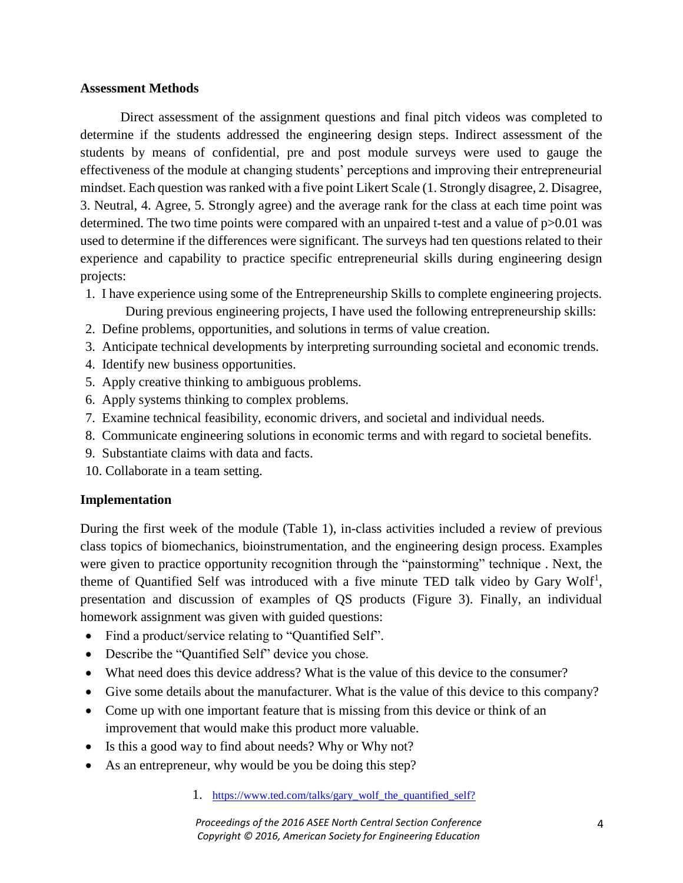## **Assessment Methods**

Direct assessment of the assignment questions and final pitch videos was completed to determine if the students addressed the engineering design steps. Indirect assessment of the students by means of confidential, pre and post module surveys were used to gauge the effectiveness of the module at changing students' perceptions and improving their entrepreneurial mindset. Each question was ranked with a five point Likert Scale (1. Strongly disagree, 2. Disagree, 3. Neutral, 4. Agree, 5. Strongly agree) and the average rank for the class at each time point was determined. The two time points were compared with an unpaired t-test and a value of p $>0.01$  was used to determine if the differences were significant. The surveys had ten questions related to their experience and capability to practice specific entrepreneurial skills during engineering design projects:

- 1. I have experience using some of the Entrepreneurship Skills to complete engineering projects. During previous engineering projects, I have used the following entrepreneurship skills:
- 2. Define problems, opportunities, and solutions in terms of value creation.
- 3. Anticipate technical developments by interpreting surrounding societal and economic trends.
- 4. Identify new business opportunities.
- 5. Apply creative thinking to ambiguous problems.
- 6. Apply systems thinking to complex problems.
- 7. Examine technical feasibility, economic drivers, and societal and individual needs.
- 8. Communicate engineering solutions in economic terms and with regard to societal benefits.
- 9. Substantiate claims with data and facts.
- 10. Collaborate in a team setting.

## **Implementation**

During the first week of the module (Table 1), in-class activities included a review of previous class topics of biomechanics, bioinstrumentation, and the engineering design process. Examples were given to practice opportunity recognition through the "painstorming" technique . Next, the theme of Quantified Self was introduced with a five minute TED talk video by Gary Wolf<sup>1</sup>, presentation and discussion of examples of QS products (Figure 3). Finally, an individual homework assignment was given with guided questions:

- Find a product/service relating to "Quantified Self".
- Describe the "Quantified Self" device you chose.
- What need does this device address? What is the value of this device to the consumer?
- Give some details about the manufacturer. What is the value of this device to this company?
- Come up with one important feature that is missing from this device or think of an improvement that would make this product more valuable.
- Is this a good way to find about needs? Why or Why not?
- As an entrepreneur, why would be you be doing this step?

## 1. [https://www.ted.com/talks/gary\\_wolf\\_the\\_quantified\\_self?](https://www.ted.com/talks/gary_wolf_the_quantified_self?)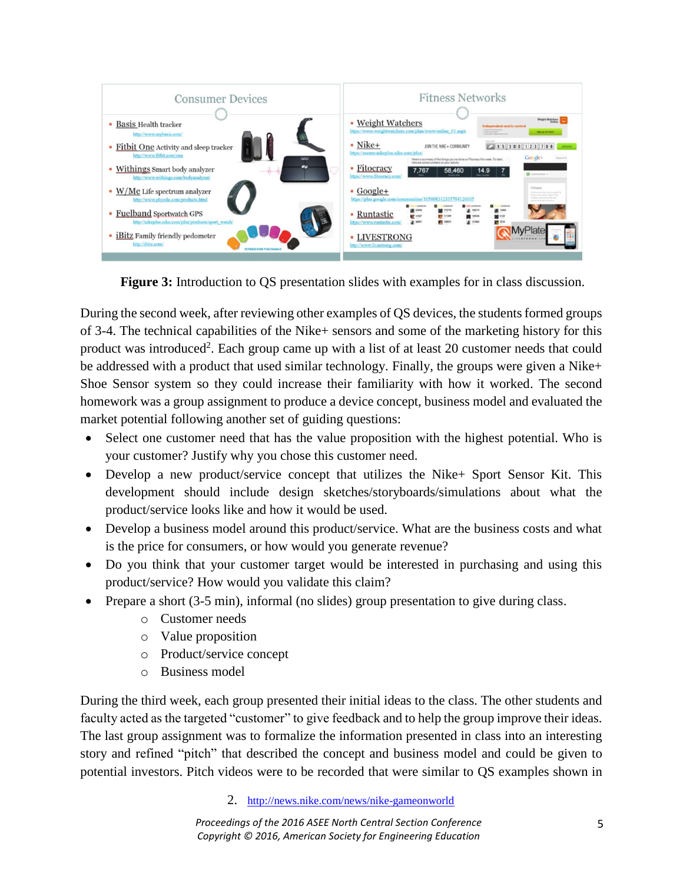

**Figure 3:** Introduction to QS presentation slides with examples for in class discussion.

During the second week, after reviewing other examples of QS devices, the students formed groups of 3-4. The technical capabilities of the Nike+ sensors and some of the marketing history for this product was introduced<sup>2</sup>. Each group came up with a list of at least 20 customer needs that could be addressed with a product that used similar technology. Finally, the groups were given a Nike+ Shoe Sensor system so they could increase their familiarity with how it worked. The second homework was a group assignment to produce a device concept, business model and evaluated the market potential following another set of guiding questions:

- Select one customer need that has the value proposition with the highest potential. Who is your customer? Justify why you chose this customer need.
- Develop a new product/service concept that utilizes the Nike+ Sport Sensor Kit. This development should include design sketches/storyboards/simulations about what the product/service looks like and how it would be used.
- Develop a business model around this product/service. What are the business costs and what is the price for consumers, or how would you generate revenue?
- Do you think that your customer target would be interested in purchasing and using this product/service? How would you validate this claim?
- Prepare a short (3-5 min), informal (no slides) group presentation to give during class.
	- o Customer needs
	- o Value proposition
	- o Product/service concept
	- o Business model

During the third week, each group presented their initial ideas to the class. The other students and faculty acted as the targeted "customer" to give feedback and to help the group improve their ideas. The last group assignment was to formalize the information presented in class into an interesting story and refined "pitch" that described the concept and business model and could be given to potential investors. Pitch videos were to be recorded that were similar to QS examples shown in

2. <http://news.nike.com/news/nike-gameonworld>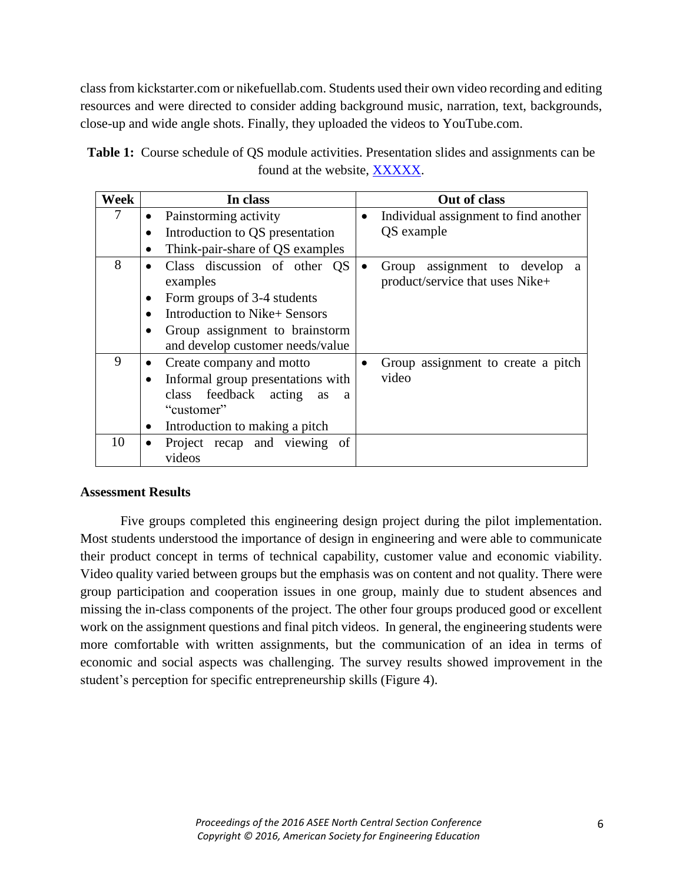class from kickstarter.com or nikefuellab.com. Students used their own video recording and editing resources and were directed to consider adding background music, narration, text, backgrounds, close-up and wide angle shots. Finally, they uploaded the videos to YouTube.com.

| Week | In class                                              | Out of class                                                     |
|------|-------------------------------------------------------|------------------------------------------------------------------|
| 7    | Painstorming activity<br>$\bullet$                    | Individual assignment to find another<br>$\bullet$               |
|      | Introduction to QS presentation                       | QS example                                                       |
|      | Think-pair-share of QS examples<br>$\bullet$          |                                                                  |
| 8    | Class discussion of other QS<br>$\bullet$<br>examples | Group assignment to develop a<br>product/service that uses Nike+ |
|      | Form groups of 3-4 students<br>٠                      |                                                                  |
|      | Introduction to Nike+ Sensors<br>$\bullet$            |                                                                  |
|      | Group assignment to brainstorm<br>$\bullet$           |                                                                  |
|      | and develop customer needs/value                      |                                                                  |
| 9    | Create company and motto                              | Group assignment to create a pitch                               |
|      | Informal group presentations with<br>$\bullet$        | video                                                            |
|      | class feedback acting<br>as<br>a                      |                                                                  |
|      | "customer"                                            |                                                                  |
|      | Introduction to making a pitch<br>٠                   |                                                                  |
| 10   | Project recap and viewing of<br>$\bullet$             |                                                                  |
|      | videos                                                |                                                                  |

| <b>Table 1:</b> Course schedule of QS module activities. Presentation slides and assignments can be |  |
|-----------------------------------------------------------------------------------------------------|--|
| found at the website, XXXXX.                                                                        |  |

## **Assessment Results**

Five groups completed this engineering design project during the pilot implementation. Most students understood the importance of design in engineering and were able to communicate their product concept in terms of technical capability, customer value and economic viability. Video quality varied between groups but the emphasis was on content and not quality. There were group participation and cooperation issues in one group, mainly due to student absences and missing the in-class components of the project. The other four groups produced good or excellent work on the assignment questions and final pitch videos. In general, the engineering students were more comfortable with written assignments, but the communication of an idea in terms of economic and social aspects was challenging. The survey results showed improvement in the student's perception for specific entrepreneurship skills (Figure 4).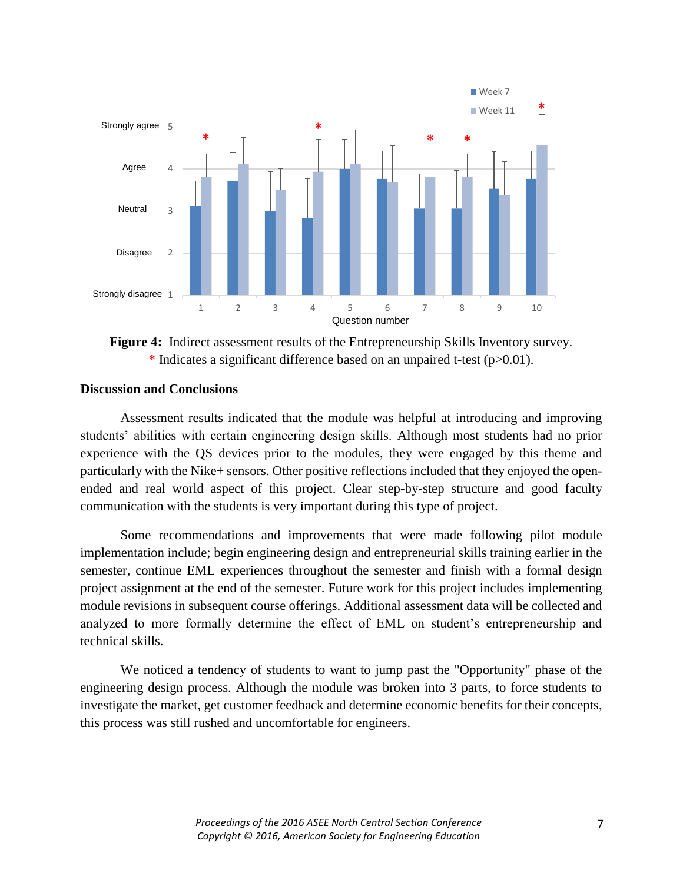

**Figure 4:** Indirect assessment results of the Entrepreneurship Skills Inventory survey. **\*** Indicates a significant difference based on an unpaired t-test (p>0.01).

## **Discussion and Conclusions**

Assessment results indicated that the module was helpful at introducing and improving students' abilities with certain engineering design skills. Although most students had no prior experience with the QS devices prior to the modules, they were engaged by this theme and particularly with the Nike+ sensors. Other positive reflections included that they enjoyed the openended and real world aspect of this project. Clear step-by-step structure and good faculty communication with the students is very important during this type of project.

Some recommendations and improvements that were made following pilot module implementation include; begin engineering design and entrepreneurial skills training earlier in the semester, continue EML experiences throughout the semester and finish with a formal design project assignment at the end of the semester. Future work for this project includes implementing module revisions in subsequent course offerings. Additional assessment data will be collected and analyzed to more formally determine the effect of EML on student's entrepreneurship and technical skills.

We noticed a tendency of students to want to jump past the "Opportunity" phase of the engineering design process. Although the module was broken into 3 parts, to force students to investigate the market, get customer feedback and determine economic benefits for their concepts, this process was still rushed and uncomfortable for engineers.